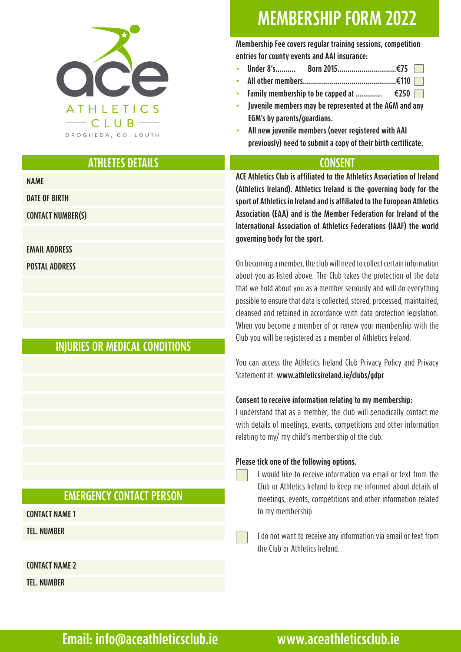

# **MEMBERSHIP FORM 2022**

**Membership Fee covers regular training sessions, competition entries for county events and AAI insurance:**

- **∙ Under 8's.......... Born 2015.............................€75**
- **∙ All other members..............................................€110**
- **∙ Family membership to be capped at ............. €250**
- **∙ Juvenile members may be represented at the AGM and any EGM's by parents/guardians.**
- **∙ All new juvenile members (never registered with AAI previously) need to submit a copy of their birth certificate.**

# **ATHLETES DETAILS**

**NAME**

**DATE OF BIRTH**

**CONTACT NUMBER(S)**

### **EMAIL ADDRESS**

**POSTAL ADDRESS**

# **INJURIES OR MEDICAL CONDITIONS**

# **EMERGENCY CONTACT PERSON**

**CONTACT NAME 1**

**TEL. NUMBER**

**CONTACT NAME 2**

**TEL. NUMBER**

**ACE Athletics Club is affiliated to the Athletics Association of Ireland (Athletics Ireland). Athletics Ireland is the governing body for the sport of Athletics in Ireland and is affiliated to the European Athletics Association (EAA) and is the Member Federation for Ireland of the International Association of Athletics Federations (IAAF) the world governing body for the sport.** 

**CONSENT**

On becoming a member, the club will need to collect certain information about you as listed above. The Club takes the protection of the data that we hold about you as a member seriously and will do everything possible to ensure that data is collected, stored, processed, maintained, cleansed and retained in accordance with data protection legislation. When you become a member of or renew your membership with the Club you will be registered as a member of Athletics Ireland.

You can access the Athletics Ireland Club Privacy Policy and Privacy Statement at: **www.athleticsireland.ie/clubs/gdpr** 

### **Consent to receive information relating to my membership:**

I understand that as a member, the club will periodically contact me with details of meetings, events, competitions and other information relating to my/ my child's membership of the club.

### **Please tick one of the following options.**

I would like to receive information via email or text from the Club or Athletics Ireland to keep me informed about details of meetings, events, competitions and other information related to my membership

I do not want to receive any information via email or text from the Club or Athletics Ireland.

# **Email: info@aceathleticsclub.ie www.aceathleticsclub.ie**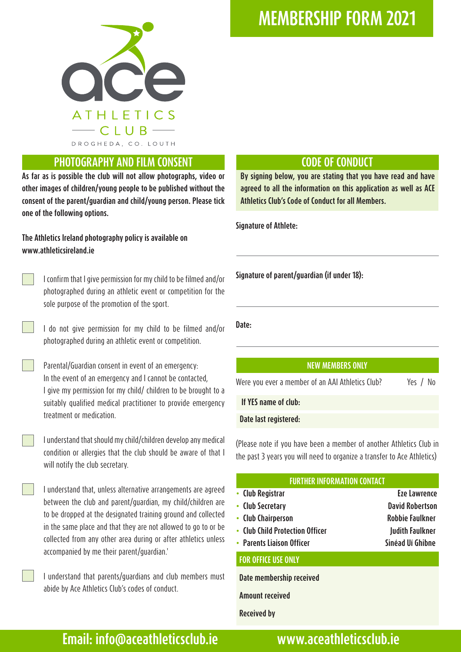

## **PHOTOGRAPHY AND FILM CONSENT**

**As far as is possible the club will not allow photographs, video or other images of children/young people to be published without the consent of the parent/guardian and child/young person. Please tick one of the following options.**

### **The Athletics Ireland photography policy is available on www.athleticsireland.ie**

I confirm that I give permission for my child to be filmed and/or photographed during an athletic event or competition for the sole purpose of the promotion of the sport.

I do not give permission for my child to be filmed and/or photographed during an athletic event or competition.

Parental/Guardian consent in event of an emergency: In the event of an emergency and I cannot be contacted, I give my permission for my child/ children to be brought to a suitably qualified medical practitioner to provide emergency treatment or medication.

I understand that should my child/children develop any medical condition or allergies that the club should be aware of that I will notify the club secretary.

I understand that, unless alternative arrangements are agreed between the club and parent/guardian, my child/children are to be dropped at the designated training ground and collected in the same place and that they are not allowed to go to or be collected from any other area during or after athletics unless accompanied by me their parent/guardian.'

I understand that parents/guardians and club members must abide by Ace Athletics Club's codes of conduct.

# **MEMBERSHIP FORM 2021**

## **CODE OF CONDUCT**

**By signing below, you are stating that you have read and have agreed to all the information on this application as well as ACE Athletics Club's Code of Conduct for all Members.**

**Signature of Athlete:**

**Signature of parent/guardian (if under 18):** 

**Date:**

### **NEW MEMBERS ONLY**

Were you ever a member of an AAI Athletics Club? Yes / No

 **If YES name of club:** 

### **Date last registered:**

(Please note if you have been a member of another Athletics Club in the past 3 years you will need to organize a transfer to Ace Athletics)

| <b>FURTHER INFORMATION CONTACT</b> |                        |
|------------------------------------|------------------------|
| • Club Registrar                   | <b>Eze Lawrence</b>    |
| • Club Secretary                   | <b>David Robertson</b> |
| • Club Chairperson                 | <b>Robbie Faulkner</b> |
| • Club Child Protection Officer    | <b>Judith Faulkner</b> |
| • Parents Liaison Officer          | Sinéad Uí Ghibne       |
| <b>FOR OFFICE USE ONLY</b>         |                        |

 **Date membership received**

 **Amount received**

 **Received by**

**Email: info@aceathleticsclub.ie www.aceathleticsclub.ie**